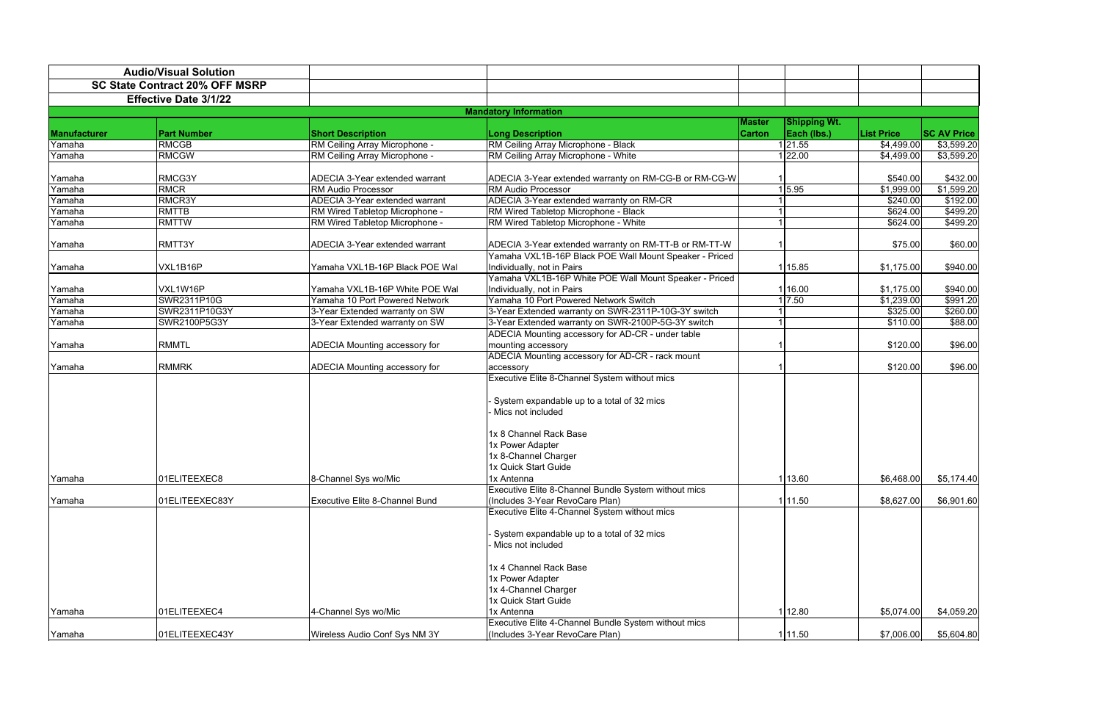|              | <b>Audio/Visual Solution</b>          |                                |                                                                                                                                            |                         |                                    |                           |                      |
|--------------|---------------------------------------|--------------------------------|--------------------------------------------------------------------------------------------------------------------------------------------|-------------------------|------------------------------------|---------------------------|----------------------|
|              | <b>SC State Contract 20% OFF MSRP</b> |                                |                                                                                                                                            |                         |                                    |                           |                      |
|              | <b>Effective Date 3/1/22</b>          |                                |                                                                                                                                            |                         |                                    |                           |                      |
|              |                                       |                                | <b>Mandatory Information</b>                                                                                                               |                         |                                    |                           |                      |
| Manufacturer | <b>Part Number</b>                    | <b>Short Description</b>       | <b>Long Description</b>                                                                                                                    | Master<br><b>Carton</b> | <b>Shipping Wt.</b><br>Each (lbs.) | <b>List Price</b>         | <b>SC AV Price</b>   |
| Yamaha       | <b>RMCGB</b>                          | RM Ceiling Array Microphone -  | RM Ceiling Array Microphone - Black                                                                                                        |                         | 121.55                             | \$4,499.00                | \$3,599.20           |
| Yamaha       | <b>RMCGW</b>                          | RM Ceiling Array Microphone -  | RM Ceiling Array Microphone - White                                                                                                        |                         | 22.00                              | \$4,499.00                | \$3,599.20           |
| Yamaha       | RMCG3Y                                | ADECIA 3-Year extended warrant | ADECIA 3-Year extended warranty on RM-CG-B or RM-CG-W                                                                                      |                         |                                    | \$540.00                  | \$432.00             |
| Yamaha       | <b>RMCR</b>                           | <b>RM Audio Processor</b>      | <b>RM Audio Processor</b>                                                                                                                  |                         | 1 5.95                             | \$1,999.00                | \$1,599.20           |
| Yamaha       | RMCR3Y                                | ADECIA 3-Year extended warrant | ADECIA 3-Year extended warranty on RM-CR                                                                                                   |                         |                                    | \$240.00                  | \$192.00             |
| Yamaha       | <b>RMTTB</b>                          | RM Wired Tabletop Microphone - | RM Wired Tabletop Microphone - Black                                                                                                       |                         |                                    | \$624.00                  | \$499.20             |
| Yamaha       | <b>RMTTW</b>                          | RM Wired Tabletop Microphone - | RM Wired Tabletop Microphone - White                                                                                                       |                         |                                    | \$624.00                  | \$499.20             |
| Yamaha       | RMTT3Y                                | ADECIA 3-Year extended warrant | ADECIA 3-Year extended warranty on RM-TT-B or RM-TT-W<br>Yamaha VXL1B-16P Black POE Wall Mount Speaker - Priced                            |                         |                                    | \$75.00                   | \$60.00              |
| Yamaha       | VXL1B16P                              | Yamaha VXL1B-16P Black POE Wal | Individually, not in Pairs                                                                                                                 |                         | 1 15.85                            | \$1,175.00                | \$940.00             |
|              |                                       |                                | Yamaha VXL1B-16P White POE Wall Mount Speaker - Priced                                                                                     |                         |                                    |                           |                      |
| Yamaha       | VXL1W16P                              | Yamaha VXL1B-16P White POE Wal | Individually, not in Pairs                                                                                                                 |                         | 16.00                              | \$1,175.00                | \$940.00             |
| Yamaha       | SWR2311P10G                           | Yamaha 10 Port Powered Network | Yamaha 10 Port Powered Network Switch                                                                                                      |                         | 7.50                               | $\overline{\$1}$ , 239.00 | $\overline{$}991.20$ |
| Yamaha       | SWR2311P10G3Y                         | 3-Year Extended warranty on SW | 3-Year Extended warranty on SWR-2311P-10G-3Y switch                                                                                        |                         |                                    | \$325.00                  | \$260.00             |
| Yamaha       | SWR2100P5G3Y                          | 3-Year Extended warranty on SW | 3-Year Extended warranty on SWR-2100P-5G-3Y switch                                                                                         |                         |                                    | \$110.00                  | \$88.00              |
|              |                                       |                                | ADECIA Mounting accessory for AD-CR - under table                                                                                          |                         |                                    |                           |                      |
| Yamaha       | <b>RMMTL</b>                          | ADECIA Mounting accessory for  | mounting accessory                                                                                                                         |                         |                                    | \$120.00                  | \$96.00              |
|              |                                       |                                | ADECIA Mounting accessory for AD-CR - rack mount                                                                                           |                         |                                    |                           |                      |
| Yamaha       | <b>RMMRK</b>                          | ADECIA Mounting accessory for  | accessory                                                                                                                                  |                         |                                    | \$120.00                  | \$96.00              |
|              |                                       |                                | Executive Elite 8-Channel System without mics<br>System expandable up to a total of 32 mics<br>Mics not included<br>1x 8 Channel Rack Base |                         |                                    |                           |                      |
|              |                                       |                                | 1x Power Adapter                                                                                                                           |                         |                                    |                           |                      |
|              |                                       |                                | 1x 8-Channel Charger                                                                                                                       |                         |                                    |                           |                      |
|              |                                       |                                | 1x Quick Start Guide                                                                                                                       |                         |                                    |                           |                      |
| Yamaha       | 01ELITEEXEC8                          | 8-Channel Sys wo/Mic           | 1x Antenna                                                                                                                                 |                         | 1 13.60                            | \$6,468.00                | \$5,174.40           |
|              |                                       |                                | Executive Elite 8-Channel Bundle System without mics                                                                                       |                         |                                    |                           |                      |
| Yamaha       | 01ELITEEXEC83Y                        | Executive Elite 8-Channel Bund | (Includes 3-Year RevoCare Plan)                                                                                                            |                         | 11.50                              | \$8,627.00                | \$6,901.60           |
|              |                                       |                                | Executive Elite 4-Channel System without mics                                                                                              |                         |                                    |                           |                      |
|              |                                       |                                | System expandable up to a total of 32 mics<br>Mics not included                                                                            |                         |                                    |                           |                      |
|              |                                       |                                | 1x 4 Channel Rack Base<br>1x Power Adapter                                                                                                 |                         |                                    |                           |                      |
|              |                                       |                                | 1x 4-Channel Charger                                                                                                                       |                         |                                    |                           |                      |
|              |                                       |                                | 1x Quick Start Guide                                                                                                                       |                         |                                    |                           |                      |
| Yamaha       | 01ELITEEXEC4                          | 4-Channel Sys wo/Mic           | 1x Antenna                                                                                                                                 |                         | 112.80                             | \$5,074.00                | \$4,059.20           |
|              |                                       |                                | Executive Elite 4-Channel Bundle System without mics                                                                                       |                         |                                    |                           |                      |
| Yamaha       | 01ELITEEXEC43Y                        | Wireless Audio Conf Sys NM 3Y  | (Includes 3-Year RevoCare Plan)                                                                                                            |                         | 1 11.50                            | \$7,006.00                | \$5,604.80           |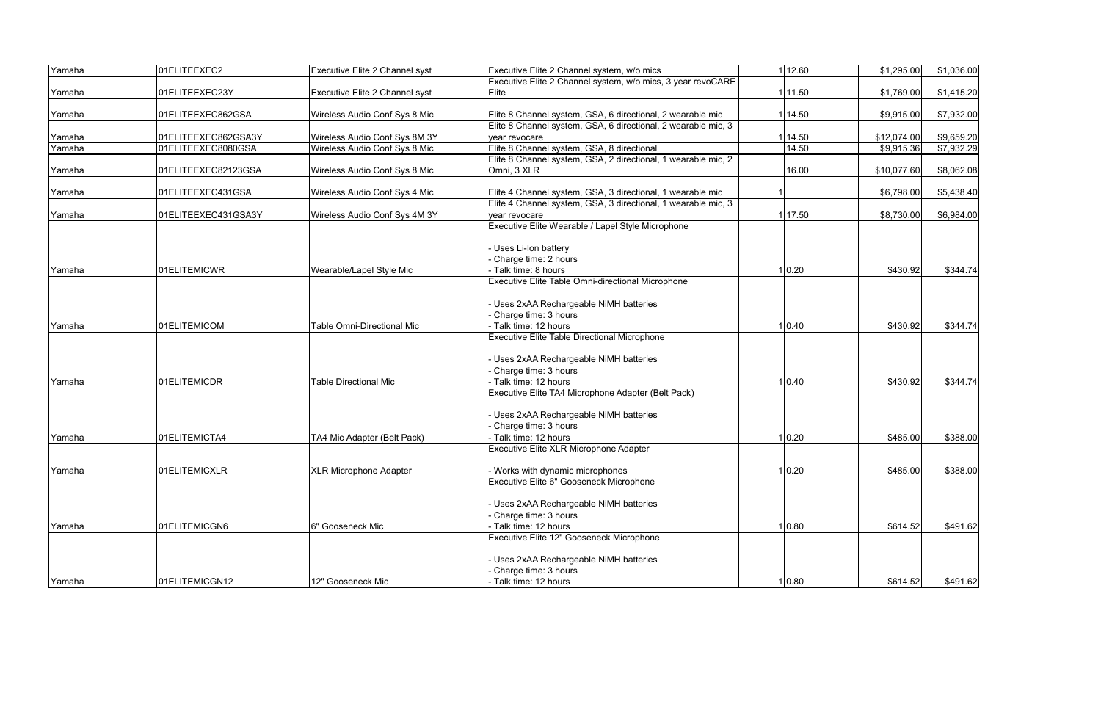| Yamaha | 01ELITEEXEC2        | Executive Elite 2 Channel syst | Executive Elite 2 Channel system, w/o mics                    | 1 12.60 | \$1,295.00  | \$1,036.00 |
|--------|---------------------|--------------------------------|---------------------------------------------------------------|---------|-------------|------------|
|        |                     |                                | Executive Elite 2 Channel system, w/o mics, 3 year revoCARE   |         |             |            |
| Yamaha | 01ELITEEXEC23Y      | Executive Elite 2 Channel syst | Elite                                                         | 1 11.50 | \$1,769.00  | \$1,415.20 |
| Yamaha | 01ELITEEXEC862GSA   | Wireless Audio Conf Sys 8 Mic  | Elite 8 Channel system, GSA, 6 directional, 2 wearable mic    | 114.50  | \$9,915.00  | \$7,932.00 |
|        |                     |                                | Elite 8 Channel system, GSA, 6 directional, 2 wearable mic, 3 |         |             |            |
| Yamaha | 01ELITEEXEC862GSA3Y | Wireless Audio Conf Sys 8M 3Y  | vear revocare                                                 | 114.50  | \$12,074.00 | \$9,659.20 |
| Yamaha | 01ELITEEXEC8080GSA  | Wireless Audio Conf Sys 8 Mic  | Elite 8 Channel system, GSA, 8 directional                    | 14.50   | \$9,915.36  | \$7,932.29 |
|        |                     |                                | Elite 8 Channel system, GSA, 2 directional, 1 wearable mic, 2 |         |             |            |
| Yamaha | 01ELITEEXEC82123GSA | Wireless Audio Conf Sys 8 Mic  | Omni, 3 XLR                                                   | 16.00   | \$10,077.60 | \$8,062.08 |
| Yamaha | 01ELITEEXEC431GSA   | Wireless Audio Conf Sys 4 Mic  | Elite 4 Channel system, GSA, 3 directional, 1 wearable mic    |         | \$6,798.00  | \$5,438.40 |
|        |                     |                                | Elite 4 Channel system, GSA, 3 directional, 1 wearable mic, 3 |         |             |            |
| Yamaha | 01ELITEEXEC431GSA3Y | Wireless Audio Conf Sys 4M 3Y  | vear revocare                                                 | 17.50   | \$8,730.00  | \$6,984.00 |
|        |                     |                                | Executive Elite Wearable / Lapel Style Microphone             |         |             |            |
|        |                     |                                | Uses Li-Ion battery                                           |         |             |            |
|        |                     |                                | Charge time: 2 hours                                          |         |             |            |
| Yamaha | 01ELITEMICWR        | Wearable/Lapel Style Mic       | Talk time: 8 hours                                            | 1 0.20  | \$430.92    | \$344.74   |
|        |                     |                                | <b>Executive Elite Table Omni-directional Microphone</b>      |         |             |            |
|        |                     |                                | Uses 2xAA Rechargeable NiMH batteries                         |         |             |            |
|        |                     |                                | Charge time: 3 hours                                          |         |             |            |
| Yamaha | 01ELITEMICOM        | Table Omni-Directional Mic     | Talk time: 12 hours                                           | 1 0.40  | \$430.92    | \$344.74   |
|        |                     |                                | Executive Elite Table Directional Microphone                  |         |             |            |
|        |                     |                                |                                                               |         |             |            |
|        |                     |                                | Uses 2xAA Rechargeable NiMH batteries                         |         |             |            |
|        |                     |                                | Charge time: 3 hours                                          |         |             |            |
| Yamaha | 01ELITEMICDR        | <b>Table Directional Mic</b>   | Talk time: 12 hours                                           | 1 0.40  | \$430.92    | \$344.74   |
|        |                     |                                | Executive Elite TA4 Microphone Adapter (Belt Pack)            |         |             |            |
|        |                     |                                | Uses 2xAA Rechargeable NiMH batteries                         |         |             |            |
|        |                     |                                | Charge time: 3 hours                                          |         |             |            |
| Yamaha | 01ELITEMICTA4       | TA4 Mic Adapter (Belt Pack)    | Talk time: 12 hours                                           | 1 0.20  | \$485.00    | \$388.00   |
|        |                     |                                | Executive Elite XLR Microphone Adapter                        |         |             |            |
| Yamaha | 01ELITEMICXLR       | <b>XLR Microphone Adapter</b>  | Works with dynamic microphones                                | 1 0.20  | \$485.00    | \$388.00   |
|        |                     |                                | Executive Elite 6" Gooseneck Microphone                       |         |             |            |
|        |                     |                                |                                                               |         |             |            |
|        |                     |                                | Uses 2xAA Rechargeable NiMH batteries                         |         |             |            |
|        |                     |                                | Charge time: 3 hours                                          |         |             |            |
| Yamaha | 01ELITEMICGN6       | 6" Gooseneck Mic               | Talk time: 12 hours                                           | 1 0.80  | \$614.52    | \$491.62   |
|        |                     |                                | Executive Elite 12" Gooseneck Microphone                      |         |             |            |
|        |                     |                                | Uses 2xAA Rechargeable NiMH batteries                         |         |             |            |
|        |                     |                                | Charge time: 3 hours                                          |         |             |            |
| Yamaha | 01ELITEMICGN12      | 12" Gooseneck Mic              | Talk time: 12 hours                                           | 1 0.80  | \$614.52    | \$491.62   |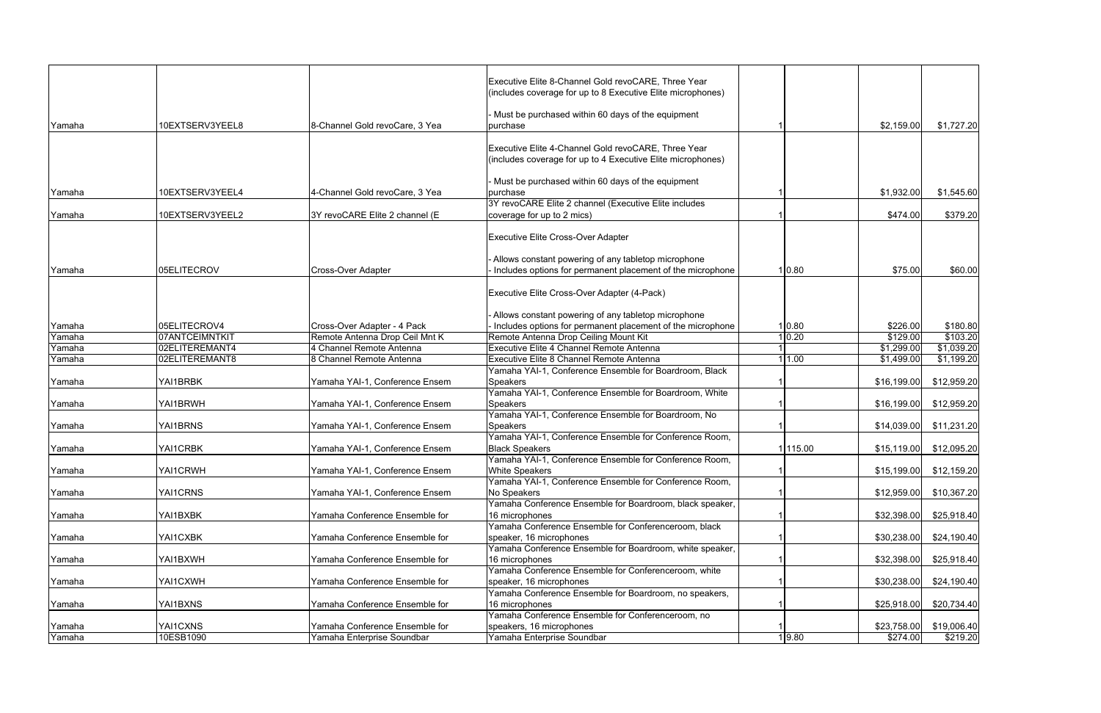|        |                 |                                | Executive Elite 8-Channel Gold revoCARE, Three Year<br>(includes coverage for up to 8 Executive Elite microphones) |          |             |             |
|--------|-----------------|--------------------------------|--------------------------------------------------------------------------------------------------------------------|----------|-------------|-------------|
| Yamaha | 10EXTSERV3YEEL8 | 8-Channel Gold revoCare, 3 Yea | Must be purchased within 60 days of the equipment<br>purchase                                                      |          | \$2,159.00  | \$1,727.20  |
|        |                 |                                |                                                                                                                    |          |             |             |
|        |                 |                                | Executive Elite 4-Channel Gold revoCARE, Three Year<br>(includes coverage for up to 4 Executive Elite microphones) |          |             |             |
|        |                 |                                |                                                                                                                    |          |             |             |
| Yamaha | 10EXTSERV3YEEL4 | 4-Channel Gold revoCare, 3 Yea | Must be purchased within 60 days of the equipment<br>purchase                                                      |          | \$1,932.00  | \$1,545.60  |
|        |                 |                                | 3Y revoCARE Elite 2 channel (Executive Elite includes                                                              |          |             |             |
| Yamaha | 10EXTSERV3YEEL2 | 3Y revoCARE Elite 2 channel (E | coverage for up to 2 mics)                                                                                         |          | \$474.00    | \$379.20    |
|        |                 |                                | <b>Executive Elite Cross-Over Adapter</b>                                                                          |          |             |             |
|        |                 |                                | Allows constant powering of any tabletop microphone                                                                |          |             |             |
| Yamaha | 05ELITECROV     | <b>Cross-Over Adapter</b>      | Includes options for permanent placement of the microphone                                                         | 1 0.80   | \$75.00     | \$60.00     |
|        |                 |                                |                                                                                                                    |          |             |             |
|        |                 |                                | Executive Elite Cross-Over Adapter (4-Pack)                                                                        |          |             |             |
|        |                 |                                | - Allows constant powering of any tabletop microphone                                                              |          |             |             |
| Yamaha | 05ELITECROV4    | Cross-Over Adapter - 4 Pack    | Includes options for permanent placement of the microphone                                                         | 1 0.80   | \$226.00    | \$180.80    |
| Yamaha | 07ANTCEIMNTKIT  | Remote Antenna Drop Ceil Mnt K | Remote Antenna Drop Ceiling Mount Kit                                                                              | 0.20     | \$129.00    | \$103.20    |
| Yamaha | 02ELITEREMANT4  | 4 Channel Remote Antenna       | Executive Elite 4 Channel Remote Antenna                                                                           |          | \$1,299.00  | \$1,039.20  |
| Yamaha | 02ELITEREMANT8  | 8 Channel Remote Antenna       | Executive Elite 8 Channel Remote Antenna                                                                           | 1.00     | \$1,499.00  | \$1,199.20  |
|        |                 |                                | Yamaha YAI-1, Conference Ensemble for Boardroom, Black                                                             |          |             |             |
| Yamaha | YAI1BRBK        | Yamaha YAI-1, Conference Ensem | <b>Speakers</b>                                                                                                    |          | \$16,199.00 | \$12,959.20 |
|        |                 |                                | Yamaha YAI-1, Conference Ensemble for Boardroom, White                                                             |          |             |             |
| Yamaha | YAI1BRWH        | Yamaha YAI-1, Conference Ensem | <b>Speakers</b>                                                                                                    |          | \$16,199.00 | \$12,959.20 |
|        |                 |                                | Yamaha YAI-1, Conference Ensemble for Boardroom, No                                                                |          |             |             |
| Yamaha | YAI1BRNS        | Yamaha YAI-1, Conference Ensem | <b>Speakers</b>                                                                                                    |          | \$14,039.00 | \$11,231.20 |
|        |                 |                                | Yamaha YAI-1, Conference Ensemble for Conference Room,                                                             |          |             |             |
| Yamaha | YAI1CRBK        | Yamaha YAI-1, Conference Ensem | <b>Black Speakers</b>                                                                                              | 1 115.00 | \$15,119.00 | \$12,095.20 |
|        | YAI1CRWH        | Yamaha YAI-1, Conference Ensem | Yamaha YAI-1, Conference Ensemble for Conference Room,<br><b>White Speakers</b>                                    |          |             |             |
| Yamaha |                 |                                | Yamaha YAI-1, Conference Ensemble for Conference Room,                                                             |          | \$15,199.00 | \$12,159.20 |
| Yamaha | YAI1CRNS        | Yamaha YAI-1, Conference Ensem | No Speakers                                                                                                        |          | \$12,959.00 | \$10,367.20 |
|        |                 |                                | Yamaha Conference Ensemble for Boardroom, black speaker,                                                           |          |             |             |
| Yamaha | YAI1BXBK        | Yamaha Conference Ensemble for | 16 microphones                                                                                                     |          | \$32,398.00 | \$25,918.40 |
|        |                 |                                | Yamaha Conference Ensemble for Conferenceroom, black                                                               |          |             |             |
| Yamaha | YAI1CXBK        | Yamaha Conference Ensemble for | speaker, 16 microphones                                                                                            |          | \$30,238.00 | \$24,190.40 |
|        |                 |                                | Yamaha Conference Ensemble for Boardroom, white speaker,                                                           |          |             |             |
| Yamaha | YAI1BXWH        | Yamaha Conference Ensemble for | 16 microphones                                                                                                     |          | \$32,398.00 | \$25,918.40 |
|        |                 |                                | Yamaha Conference Ensemble for Conferenceroom, white                                                               |          |             |             |
| Yamaha | YAI1CXWH        | Yamaha Conference Ensemble for | speaker, 16 microphones                                                                                            |          | \$30,238.00 | \$24,190.40 |
|        |                 |                                | Yamaha Conference Ensemble for Boardroom, no speakers,                                                             |          |             |             |
| Yamaha | YAI1BXNS        | Yamaha Conference Ensemble for | 16 microphones                                                                                                     |          | \$25,918.00 | \$20,734.40 |
|        |                 |                                | Yamaha Conference Ensemble for Conferenceroom, no                                                                  |          |             |             |
| Yamaha | YAI1CXNS        | Yamaha Conference Ensemble for | speakers, 16 microphones                                                                                           |          | \$23,758.00 | \$19,006.40 |
| Yamaha | 10ESB1090       | Yamaha Enterprise Soundbar     | Yamaha Enterprise Soundbar                                                                                         | 1 9.80   | \$274.00    | \$219.20    |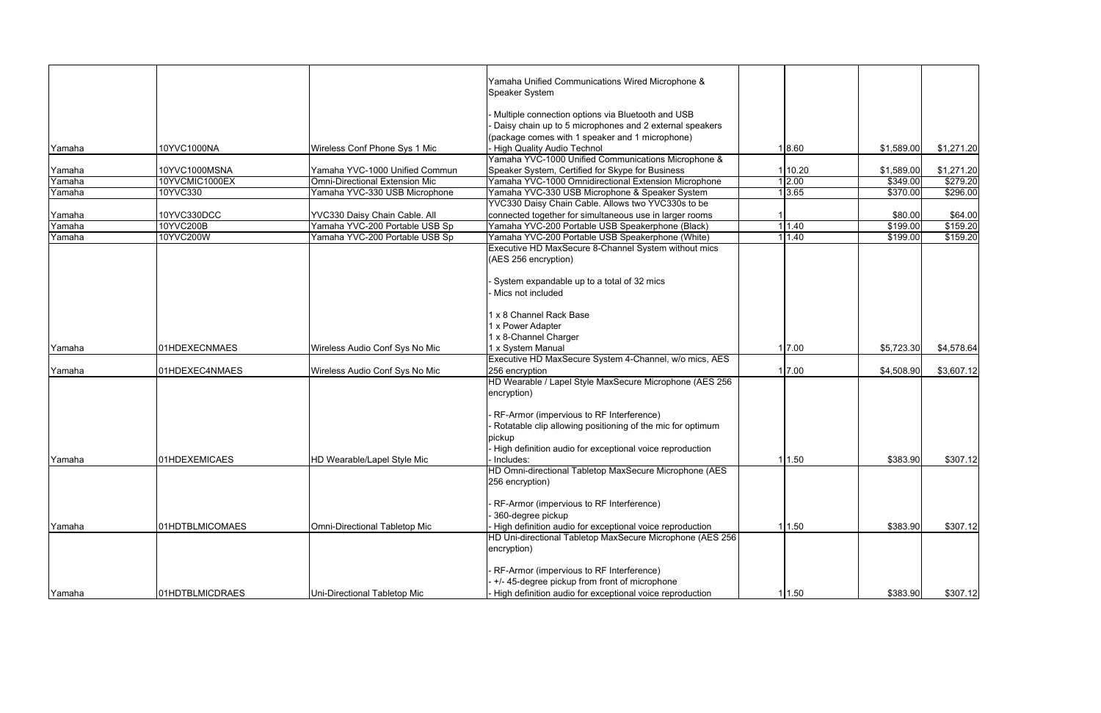|                  |                          |                                                                 | Yamaha Unified Communications Wired Microphone &                                                            |                    |                     |                     |
|------------------|--------------------------|-----------------------------------------------------------------|-------------------------------------------------------------------------------------------------------------|--------------------|---------------------|---------------------|
|                  |                          |                                                                 | Speaker System                                                                                              |                    |                     |                     |
|                  |                          |                                                                 | Multiple connection options via Bluetooth and USB                                                           |                    |                     |                     |
|                  |                          |                                                                 | Daisy chain up to 5 microphones and 2 external speakers                                                     |                    |                     |                     |
|                  |                          |                                                                 | (package comes with 1 speaker and 1 microphone)                                                             |                    |                     |                     |
| Yamaha           | 10YVC1000NA              | Wireless Conf Phone Sys 1 Mic                                   | <b>High Quality Audio Technol</b>                                                                           | 1 8.60             | \$1,589.00          | \$1,271.20          |
|                  |                          |                                                                 | Yamaha YVC-1000 Unified Communications Microphone &                                                         |                    |                     |                     |
| Yamaha           | 10YVC1000MSNA            | Yamaha YVC-1000 Unified Commun                                  | Speaker System, Certified for Skype for Business                                                            | 10.20              | \$1,589.00          | \$1,271.20          |
| Yamaha           | 10YVCMIC1000EX           | <b>Omni-Directional Extension Mic</b>                           | Yamaha YVC-1000 Omnidirectional Extension Microphone                                                        | 2.00               | \$349.00            | \$279.20            |
| Yamaha           | 10YVC330                 | Yamaha YVC-330 USB Microphone                                   | Yamaha YVC-330 USB Microphone & Speaker System                                                              | $1\overline{3.65}$ | \$370.00            | \$296.00            |
|                  |                          |                                                                 | YVC330 Daisy Chain Cable. Allows two YVC330s to be                                                          |                    |                     |                     |
| Yamaha<br>Yamaha | 10YVC330DCC<br>10YVC200B | YVC330 Daisy Chain Cable. All<br>Yamaha YVC-200 Portable USB Sp | connected together for simultaneous use in larger rooms<br>Yamaha YVC-200 Portable USB Speakerphone (Black) | 1.40               | \$80.00<br>\$199.00 | \$64.00<br>\$159.20 |
| Yamaha           | 10YVC200W                | Yamaha YVC-200 Portable USB Sp                                  | Yamaha YVC-200 Portable USB Speakerphone (White)                                                            | 1.40               | \$199.00            | \$159.20            |
|                  |                          |                                                                 | Executive HD MaxSecure 8-Channel System without mics                                                        |                    |                     |                     |
|                  |                          |                                                                 | (AES 256 encryption)                                                                                        |                    |                     |                     |
|                  |                          |                                                                 |                                                                                                             |                    |                     |                     |
|                  |                          |                                                                 | System expandable up to a total of 32 mics                                                                  |                    |                     |                     |
|                  |                          |                                                                 | Mics not included                                                                                           |                    |                     |                     |
|                  |                          |                                                                 |                                                                                                             |                    |                     |                     |
|                  |                          |                                                                 | x 8 Channel Rack Base                                                                                       |                    |                     |                     |
|                  |                          |                                                                 | x Power Adapter                                                                                             |                    |                     |                     |
|                  |                          |                                                                 | x 8-Channel Charger                                                                                         |                    |                     |                     |
| Yamaha           | 01HDEXECNMAES            | Wireless Audio Conf Sys No Mic                                  | x System Manual                                                                                             | 1 7.00             | \$5,723.30          | \$4,578.64          |
|                  |                          |                                                                 | Executive HD MaxSecure System 4-Channel, w/o mics, AES                                                      |                    |                     |                     |
| Yamaha           | 01HDEXEC4NMAES           | Wireless Audio Conf Sys No Mic                                  | 256 encryption                                                                                              | 7.00               | \$4,508.90          | \$3,607.12          |
|                  |                          |                                                                 | HD Wearable / Lapel Style MaxSecure Microphone (AES 256                                                     |                    |                     |                     |
|                  |                          |                                                                 | encryption)                                                                                                 |                    |                     |                     |
|                  |                          |                                                                 |                                                                                                             |                    |                     |                     |
|                  |                          |                                                                 | RF-Armor (impervious to RF Interference)                                                                    |                    |                     |                     |
|                  |                          |                                                                 | Rotatable clip allowing positioning of the mic for optimum                                                  |                    |                     |                     |
|                  |                          |                                                                 | pickup                                                                                                      |                    |                     |                     |
|                  |                          |                                                                 | High definition audio for exceptional voice reproduction                                                    |                    |                     |                     |
| Yamaha           | 01HDEXEMICAES            | HD Wearable/Lapel Style Mic                                     | Includes:<br>HD Omni-directional Tabletop MaxSecure Microphone (AES                                         | 11.50              | \$383.90            | \$307.12]           |
|                  |                          |                                                                 | 256 encryption)                                                                                             |                    |                     |                     |
|                  |                          |                                                                 |                                                                                                             |                    |                     |                     |
|                  |                          |                                                                 | RF-Armor (impervious to RF Interference)                                                                    |                    |                     |                     |
|                  |                          |                                                                 | 360-degree pickup                                                                                           |                    |                     |                     |
| Yamaha           | 01HDTBLMICOMAES          | Omni-Directional Tabletop Mic                                   | High definition audio for exceptional voice reproduction                                                    | 1 1.50             | \$383.90            | \$307.12]           |
|                  |                          |                                                                 | HD Uni-directional Tabletop MaxSecure Microphone (AES 256                                                   |                    |                     |                     |
|                  |                          |                                                                 | encryption)                                                                                                 |                    |                     |                     |
|                  |                          |                                                                 | RF-Armor (impervious to RF Interference)                                                                    |                    |                     |                     |
|                  |                          |                                                                 | +/- 45-degree pickup from front of microphone                                                               |                    |                     |                     |
| Yamaha           | 01HDTBLMICDRAES          | Uni-Directional Tabletop Mic                                    | High definition audio for exceptional voice reproduction                                                    | 1 1.50             | \$383.90            | \$307.12]           |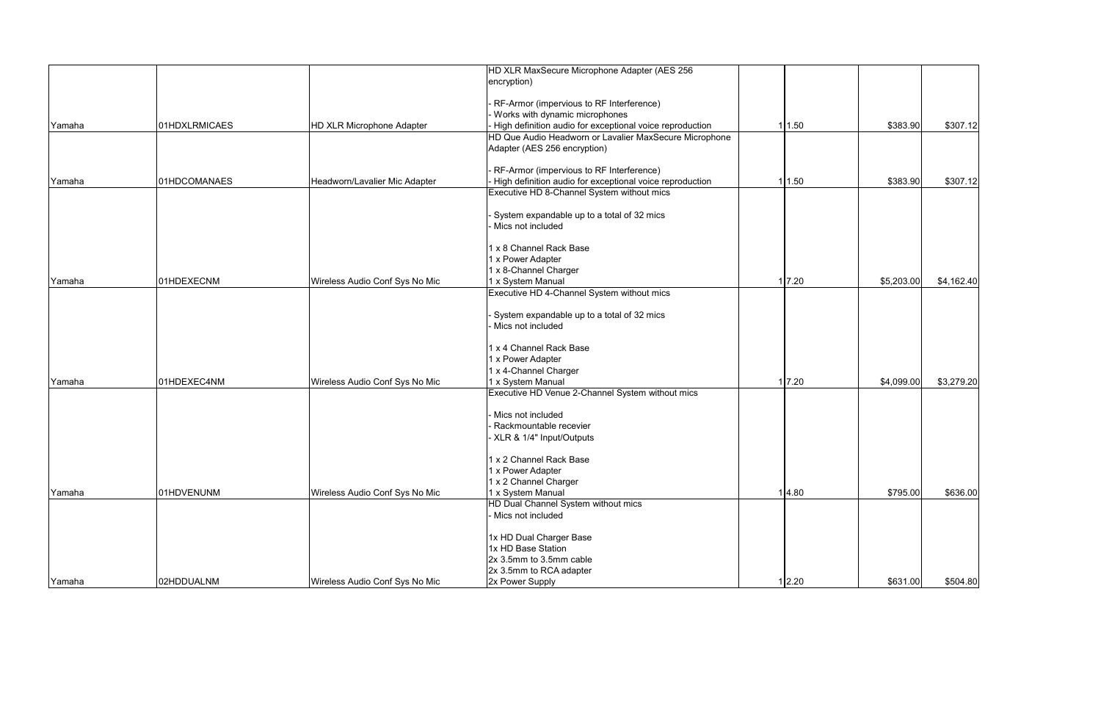|        |               |                                  | HD XLR MaxSecure Microphone Adapter (AES 256             |        |            |            |
|--------|---------------|----------------------------------|----------------------------------------------------------|--------|------------|------------|
|        |               |                                  | encryption)                                              |        |            |            |
|        |               |                                  |                                                          |        |            |            |
|        |               |                                  | RF-Armor (impervious to RF Interference)                 |        |            |            |
|        |               |                                  | Works with dynamic microphones                           |        |            |            |
| Yamaha | 01HDXLRMICAES | <b>HD XLR Microphone Adapter</b> | High definition audio for exceptional voice reproduction | 1 1.50 | \$383.90   | \$307.12]  |
|        |               |                                  | HD Que Audio Headworn or Lavalier MaxSecure Microphone   |        |            |            |
|        |               |                                  | Adapter (AES 256 encryption)                             |        |            |            |
|        |               |                                  | RF-Armor (impervious to RF Interference)                 |        |            |            |
| Yamaha | 01HDCOMANAES  | Headworn/Lavalier Mic Adapter    | High definition audio for exceptional voice reproduction | 1 1.50 | \$383.90   | \$307.12   |
|        |               |                                  | Executive HD 8-Channel System without mics               |        |            |            |
|        |               |                                  | System expandable up to a total of 32 mics               |        |            |            |
|        |               |                                  | Mics not included                                        |        |            |            |
|        |               |                                  | 1 x 8 Channel Rack Base                                  |        |            |            |
|        |               |                                  | <b>x Power Adapter</b>                                   |        |            |            |
|        |               |                                  | x 8-Channel Charger                                      |        |            |            |
| Yamaha | 01HDEXECNM    | Wireless Audio Conf Sys No Mic   | x System Manual                                          | 7.20   | \$5,203.00 | \$4,162.40 |
|        |               |                                  | Executive HD 4-Channel System without mics               |        |            |            |
|        |               |                                  | System expandable up to a total of 32 mics               |        |            |            |
|        |               |                                  | Mics not included                                        |        |            |            |
|        |               |                                  | x 4 Channel Rack Base                                    |        |            |            |
|        |               |                                  | x Power Adapter                                          |        |            |            |
|        |               |                                  | x 4-Channel Charger                                      |        |            |            |
| Yamaha | 01HDEXEC4NM   | Wireless Audio Conf Sys No Mic   | x System Manual                                          | 1 7.20 | \$4,099.00 | \$3,279.20 |
|        |               |                                  | Executive HD Venue 2-Channel System without mics         |        |            |            |
|        |               |                                  |                                                          |        |            |            |
|        |               |                                  | Mics not included<br>Rackmountable recevier              |        |            |            |
|        |               |                                  |                                                          |        |            |            |
|        |               |                                  | XLR & 1/4" Input/Outputs                                 |        |            |            |
|        |               |                                  | x 2 Channel Rack Base                                    |        |            |            |
|        |               |                                  | x Power Adapter                                          |        |            |            |
|        |               |                                  | x 2 Channel Charger                                      |        |            |            |
| Yamaha | 01HDVENUNM    | Wireless Audio Conf Sys No Mic   | x System Manual                                          | 1 4.80 | \$795.00   | \$636.00   |
|        |               |                                  | <b>HD Dual Channel System without mics</b>               |        |            |            |
|        |               |                                  | Mics not included                                        |        |            |            |
|        |               |                                  | 1x HD Dual Charger Base                                  |        |            |            |
|        |               |                                  | 1x HD Base Station                                       |        |            |            |
|        |               |                                  | 2x 3.5mm to 3.5mm cable                                  |        |            |            |
|        |               |                                  | 2x 3.5mm to RCA adapter                                  |        |            |            |
| Yamaha | 02HDDUALNM    | Wireless Audio Conf Sys No Mic   | 2x Power Supply                                          | 1 2.20 | \$631.00   | \$504.80   |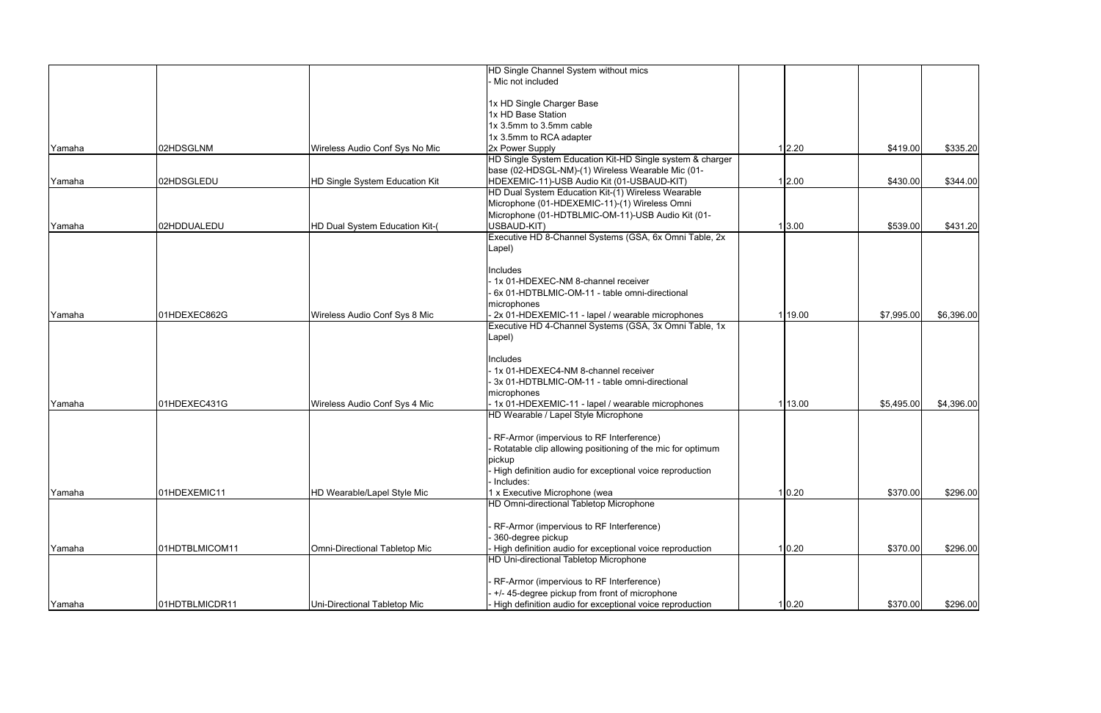|        |                |                                | HD Single Channel System without mics                      |         |            |            |
|--------|----------------|--------------------------------|------------------------------------------------------------|---------|------------|------------|
|        |                |                                | - Mic not included                                         |         |            |            |
|        |                |                                |                                                            |         |            |            |
|        |                |                                | 1x HD Single Charger Base                                  |         |            |            |
|        |                |                                | 1x HD Base Station                                         |         |            |            |
|        |                |                                | 1x 3.5mm to 3.5mm cable                                    |         |            |            |
|        |                |                                | 1x 3.5mm to RCA adapter                                    |         |            |            |
| Yamaha | 02HDSGLNM      | Wireless Audio Conf Sys No Mic | 2x Power Supply                                            | 1 2.20  | \$419.00   | \$335.20   |
|        |                |                                | HD Single System Education Kit-HD Single system & charger  |         |            |            |
|        |                |                                | base (02-HDSGL-NM)-(1) Wireless Wearable Mic (01-          |         |            |            |
| Yamaha | 02HDSGLEDU     | HD Single System Education Kit | HDEXEMIC-11)-USB Audio Kit (01-USBAUD-KIT)                 | 1 2.00  | \$430.00   | \$344.00   |
|        |                |                                | HD Dual System Education Kit-(1) Wireless Wearable         |         |            |            |
|        |                |                                | Microphone (01-HDEXEMIC-11)-(1) Wireless Omni              |         |            |            |
|        |                |                                | Microphone (01-HDTBLMIC-OM-11)-USB Audio Kit (01-          |         |            |            |
| Yamaha | 02HDDUALEDU    | HD Dual System Education Kit-( | USBAUD-KIT)                                                | 1 3.00  | \$539.00   | \$431.20   |
|        |                |                                | Executive HD 8-Channel Systems (GSA, 6x Omni Table, 2x     |         |            |            |
|        |                |                                | Lapel)                                                     |         |            |            |
|        |                |                                |                                                            |         |            |            |
|        |                |                                | Includes                                                   |         |            |            |
|        |                |                                | - 1x 01-HDEXEC-NM 8-channel receiver                       |         |            |            |
|        |                |                                | - 6x 01-HDTBLMIC-OM-11 - table omni-directional            |         |            |            |
|        |                |                                | microphones                                                |         |            |            |
| Yamaha | 01HDEXEC862G   | Wireless Audio Conf Sys 8 Mic  | - 2x 01-HDEXEMIC-11 - lapel / wearable microphones         | 1 19.00 | \$7,995.00 | \$6,396.00 |
|        |                |                                | Executive HD 4-Channel Systems (GSA, 3x Omni Table, 1x     |         |            |            |
|        |                |                                | Lapel)                                                     |         |            |            |
|        |                |                                |                                                            |         |            |            |
|        |                |                                | Includes                                                   |         |            |            |
|        |                |                                | - 1x 01-HDEXEC4-NM 8-channel receiver                      |         |            |            |
|        |                |                                | 3x 01-HDTBLMIC-OM-11 - table omni-directional              |         |            |            |
|        |                |                                | microphones                                                |         |            |            |
| Yamaha | 01HDEXEC431G   | Wireless Audio Conf Sys 4 Mic  | - 1x 01-HDEXEMIC-11 - lapel / wearable microphones         | 1 13.00 | \$5,495.00 | \$4,396.00 |
|        |                |                                | HD Wearable / Lapel Style Microphone                       |         |            |            |
|        |                |                                |                                                            |         |            |            |
|        |                |                                | - RF-Armor (impervious to RF Interference)                 |         |            |            |
|        |                |                                | Rotatable clip allowing positioning of the mic for optimum |         |            |            |
|        |                |                                | pickup                                                     |         |            |            |
|        |                |                                | High definition audio for exceptional voice reproduction   |         |            |            |
|        |                |                                | - Includes:                                                |         |            |            |
| Yamaha | 01HDEXEMIC11   | HD Wearable/Lapel Style Mic    | 1 x Executive Microphone (wea                              | 1 0.20  | \$370.00   | \$296.00   |
|        |                |                                | HD Omni-directional Tabletop Microphone                    |         |            |            |
|        |                |                                |                                                            |         |            |            |
|        |                |                                | RF-Armor (impervious to RF Interference)                   |         |            |            |
|        |                |                                | 360-degree pickup                                          |         |            |            |
| Yamaha | 01HDTBLMICOM11 | Omni-Directional Tabletop Mic  | High definition audio for exceptional voice reproduction   | 1 0.20  | \$370.00   | \$296.00   |
|        |                |                                | HD Uni-directional Tabletop Microphone                     |         |            |            |
|        |                |                                |                                                            |         |            |            |
|        |                |                                | RF-Armor (impervious to RF Interference)                   |         |            |            |
|        |                |                                | +/-45-degree pickup from front of microphone               |         |            |            |
| Yamaha | 01HDTBLMICDR11 | Uni-Directional Tabletop Mic   | High definition audio for exceptional voice reproduction   | 1 0.20  | \$370.00   | \$296.00   |
|        |                |                                |                                                            |         |            |            |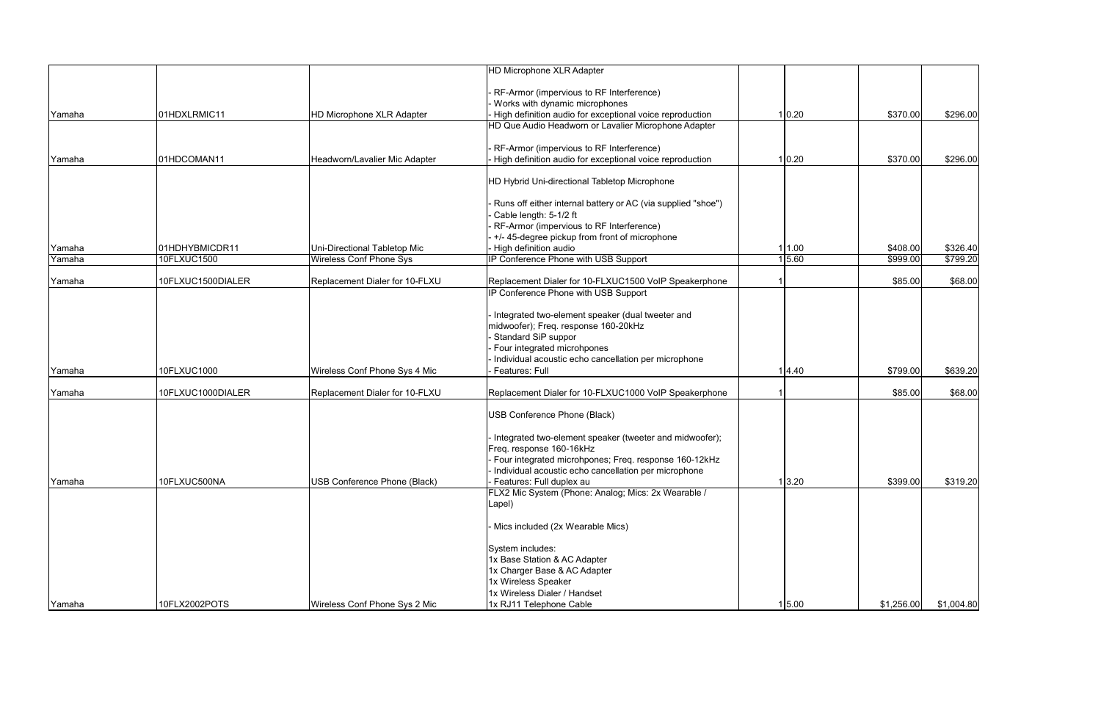|        |                   |                                  | <b>HD Microphone XLR Adapter</b>                                                         |        |            |            |
|--------|-------------------|----------------------------------|------------------------------------------------------------------------------------------|--------|------------|------------|
|        |                   |                                  |                                                                                          |        |            |            |
|        |                   |                                  | RF-Armor (impervious to RF Interference)<br>Works with dynamic microphones               |        |            |            |
| Yamaha | 01HDXLRMIC11      | <b>HD Microphone XLR Adapter</b> | High definition audio for exceptional voice reproduction                                 | 1 0.20 | \$370.00   | \$296.00   |
|        |                   |                                  | HD Que Audio Headworn or Lavalier Microphone Adapter                                     |        |            |            |
|        |                   |                                  | RF-Armor (impervious to RF Interference)                                                 |        |            |            |
| Yamaha | 01HDCOMAN11       | Headworn/Lavalier Mic Adapter    | High definition audio for exceptional voice reproduction                                 | 1 0.20 | \$370.00   | \$296.00   |
|        |                   |                                  |                                                                                          |        |            |            |
|        |                   |                                  | HD Hybrid Uni-directional Tabletop Microphone                                            |        |            |            |
|        |                   |                                  | Runs off either internal battery or AC (via supplied "shoe")                             |        |            |            |
|        |                   |                                  | Cable length: 5-1/2 ft                                                                   |        |            |            |
|        |                   |                                  | RF-Armor (impervious to RF Interference)                                                 |        |            |            |
|        |                   |                                  | +/- 45-degree pickup from front of microphone                                            |        |            |            |
| Yamaha | 01HDHYBMICDR11    | Uni-Directional Tabletop Mic     | High definition audio                                                                    | 1 1.00 | \$408.00   | \$326.40   |
| Yamaha | 10FLXUC1500       | <b>Wireless Conf Phone Sys</b>   | IP Conference Phone with USB Support                                                     | 1 5.60 | \$999.00   | \$799.20   |
| Yamaha | 10FLXUC1500DIALER | Replacement Dialer for 10-FLXU   | Replacement Dialer for 10-FLXUC1500 VoIP Speakerphone                                    |        | \$85.00    | \$68.00    |
|        |                   |                                  | IP Conference Phone with USB Support                                                     |        |            |            |
|        |                   |                                  |                                                                                          |        |            |            |
|        |                   |                                  | Integrated two-element speaker (dual tweeter and<br>midwoofer); Freq. response 160-20kHz |        |            |            |
|        |                   |                                  | <b>Standard SiP suppor</b>                                                               |        |            |            |
|        |                   |                                  | Four integrated microhpones                                                              |        |            |            |
|        |                   |                                  | Individual acoustic echo cancellation per microphone                                     |        |            |            |
| Yamaha | 10FLXUC1000       | Wireless Conf Phone Sys 4 Mic    | Features: Full                                                                           | 1 4.40 | \$799.00   | \$639.20   |
| Yamaha | 10FLXUC1000DIALER | Replacement Dialer for 10-FLXU   | Replacement Dialer for 10-FLXUC1000 VoIP Speakerphone                                    |        | \$85.00    | \$68.00    |
|        |                   |                                  |                                                                                          |        |            |            |
|        |                   |                                  | USB Conference Phone (Black)                                                             |        |            |            |
|        |                   |                                  | Integrated two-element speaker (tweeter and midwoofer);                                  |        |            |            |
|        |                   |                                  | Freq. response 160-16kHz                                                                 |        |            |            |
|        |                   |                                  | Four integrated microhpones; Freq. response 160-12kHz                                    |        |            |            |
|        |                   |                                  | Individual acoustic echo cancellation per microphone                                     |        |            |            |
| Yamaha | 10FLXUC500NA      | USB Conference Phone (Black)     | Features: Full duplex au                                                                 | 1 3.20 | \$399.00   | \$319.20   |
|        |                   |                                  | FLX2 Mic System (Phone: Analog; Mics: 2x Wearable /                                      |        |            |            |
|        |                   |                                  | Lapel)                                                                                   |        |            |            |
|        |                   |                                  | Mics included (2x Wearable Mics)                                                         |        |            |            |
|        |                   |                                  | System includes:                                                                         |        |            |            |
|        |                   |                                  | 1x Base Station & AC Adapter                                                             |        |            |            |
|        |                   |                                  | 1x Charger Base & AC Adapter                                                             |        |            |            |
|        |                   |                                  | 1x Wireless Speaker                                                                      |        |            |            |
|        |                   |                                  | 1x Wireless Dialer / Handset                                                             |        |            |            |
| Yamaha | 10FLX2002POTS     | Wireless Conf Phone Sys 2 Mic    | 1x RJ11 Telephone Cable                                                                  | 1 5.00 | \$1,256.00 | \$1,004.80 |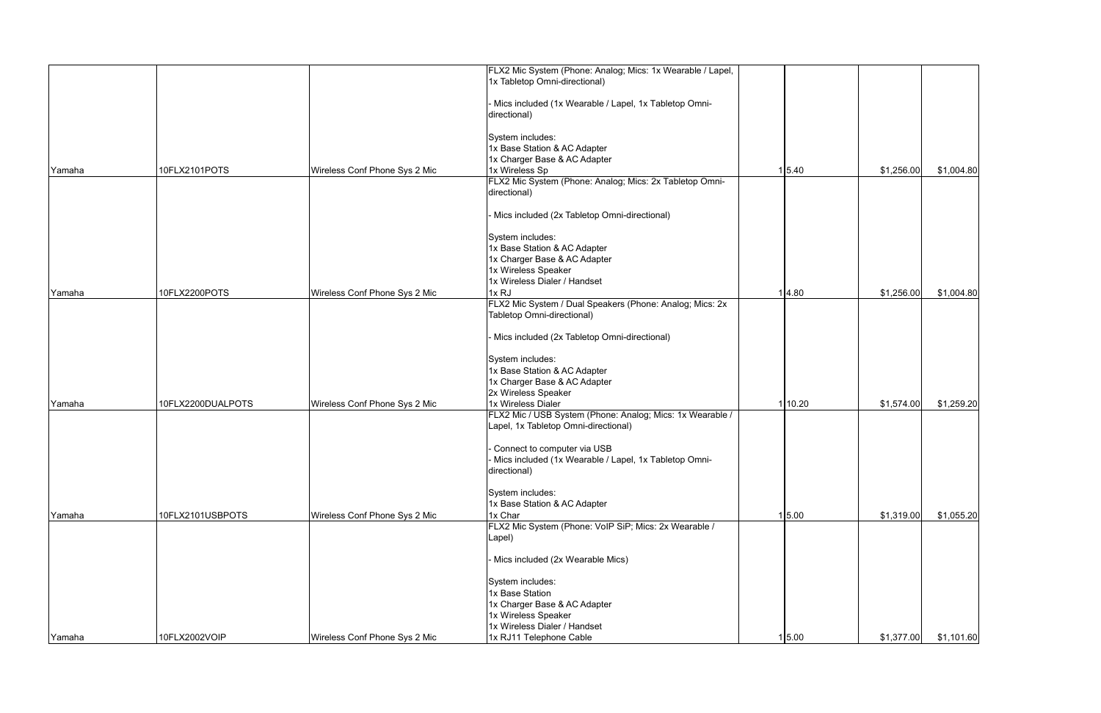|        |                   |                               | FLX2 Mic System (Phone: Analog; Mics: 1x Wearable / Lapel,<br>1x Tabletop Omni-directional) |         |            |            |
|--------|-------------------|-------------------------------|---------------------------------------------------------------------------------------------|---------|------------|------------|
|        |                   |                               |                                                                                             |         |            |            |
|        |                   |                               | Mics included (1x Wearable / Lapel, 1x Tabletop Omni-                                       |         |            |            |
|        |                   |                               | directional)                                                                                |         |            |            |
|        |                   |                               |                                                                                             |         |            |            |
|        |                   |                               | System includes:                                                                            |         |            |            |
|        |                   |                               | 1x Base Station & AC Adapter                                                                |         |            |            |
|        |                   |                               | 1x Charger Base & AC Adapter                                                                |         |            |            |
| Yamaha | 10FLX2101POTS     | Wireless Conf Phone Sys 2 Mic | 1x Wireless Sp                                                                              | 1 5.40  | \$1,256.00 | \$1,004.80 |
|        |                   |                               | FLX2 Mic System (Phone: Analog; Mics: 2x Tabletop Omni-                                     |         |            |            |
|        |                   |                               | directional)                                                                                |         |            |            |
|        |                   |                               |                                                                                             |         |            |            |
|        |                   |                               | Mics included (2x Tabletop Omni-directional)                                                |         |            |            |
|        |                   |                               | System includes:                                                                            |         |            |            |
|        |                   |                               | 1x Base Station & AC Adapter                                                                |         |            |            |
|        |                   |                               | 1x Charger Base & AC Adapter                                                                |         |            |            |
|        |                   |                               | 1x Wireless Speaker                                                                         |         |            |            |
|        |                   |                               | 1x Wireless Dialer / Handset                                                                |         |            |            |
| Yamaha | 10FLX2200POTS     | Wireless Conf Phone Sys 2 Mic | 1xRJ                                                                                        | 1 4.80  | \$1,256.00 | \$1,004.80 |
|        |                   |                               | FLX2 Mic System / Dual Speakers (Phone: Analog; Mics: 2x                                    |         |            |            |
|        |                   |                               | Tabletop Omni-directional)                                                                  |         |            |            |
|        |                   |                               |                                                                                             |         |            |            |
|        |                   |                               | Mics included (2x Tabletop Omni-directional)                                                |         |            |            |
|        |                   |                               | System includes:                                                                            |         |            |            |
|        |                   |                               | 1x Base Station & AC Adapter                                                                |         |            |            |
|        |                   |                               | 1x Charger Base & AC Adapter                                                                |         |            |            |
|        |                   |                               | 2x Wireless Speaker                                                                         |         |            |            |
| Yamaha | 10FLX2200DUALPOTS | Wireless Conf Phone Sys 2 Mic | 1x Wireless Dialer                                                                          | 1 10.20 | \$1,574.00 | \$1,259.20 |
|        |                   |                               | FLX2 Mic / USB System (Phone: Analog; Mics: 1x Wearable /                                   |         |            |            |
|        |                   |                               | Lapel, 1x Tabletop Omni-directional)                                                        |         |            |            |
|        |                   |                               |                                                                                             |         |            |            |
|        |                   |                               | Connect to computer via USB                                                                 |         |            |            |
|        |                   |                               | Mics included (1x Wearable / Lapel, 1x Tabletop Omni-<br>directional)                       |         |            |            |
|        |                   |                               |                                                                                             |         |            |            |
|        |                   |                               | System includes:                                                                            |         |            |            |
|        |                   |                               | 1x Base Station & AC Adapter                                                                |         |            |            |
| Yamaha | 10FLX2101USBPOTS  | Wireless Conf Phone Sys 2 Mic | 1x Char                                                                                     | 1 5.00  | \$1,319.00 | \$1,055.20 |
|        |                   |                               | FLX2 Mic System (Phone: VoIP SiP; Mics: 2x Wearable /                                       |         |            |            |
|        |                   |                               | Lapel)                                                                                      |         |            |            |
|        |                   |                               |                                                                                             |         |            |            |
|        |                   |                               | Mics included (2x Wearable Mics)                                                            |         |            |            |
|        |                   |                               | System includes:                                                                            |         |            |            |
|        |                   |                               | 1x Base Station                                                                             |         |            |            |
|        |                   |                               | 1x Charger Base & AC Adapter                                                                |         |            |            |
|        |                   |                               | 1x Wireless Speaker                                                                         |         |            |            |
|        |                   |                               | 1x Wireless Dialer / Handset                                                                |         |            |            |
| Yamaha | 10FLX2002VOIP     | Wireless Conf Phone Sys 2 Mic | 1x RJ11 Telephone Cable                                                                     | 1 5.00  | \$1,377.00 | \$1,101.60 |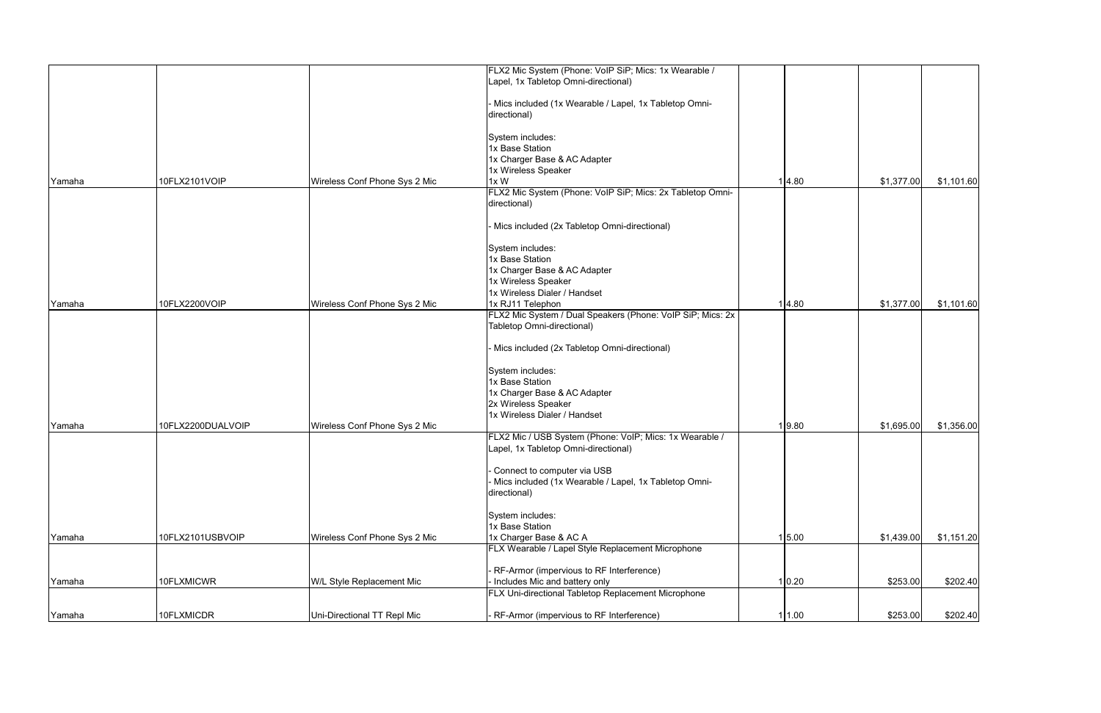|        |                   |                               | FLX2 Mic System (Phone: VoIP SiP; Mics: 1x Wearable /                                           |        |            |            |
|--------|-------------------|-------------------------------|-------------------------------------------------------------------------------------------------|--------|------------|------------|
|        |                   |                               | Lapel, 1x Tabletop Omni-directional)                                                            |        |            |            |
|        |                   |                               |                                                                                                 |        |            |            |
|        |                   |                               | - Mics included (1x Wearable / Lapel, 1x Tabletop Omni-                                         |        |            |            |
|        |                   |                               | directional)                                                                                    |        |            |            |
|        |                   |                               |                                                                                                 |        |            |            |
|        |                   |                               | System includes:                                                                                |        |            |            |
|        |                   |                               | 1x Base Station<br>1x Charger Base & AC Adapter                                                 |        |            |            |
|        |                   |                               | 1x Wireless Speaker                                                                             |        |            |            |
| Yamaha | 10FLX2101VOIP     | Wireless Conf Phone Sys 2 Mic | 1xW                                                                                             | 1 4.80 | \$1,377.00 | \$1,101.60 |
|        |                   |                               | FLX2 Mic System (Phone: VoIP SiP; Mics: 2x Tabletop Omni-                                       |        |            |            |
|        |                   |                               | directional)                                                                                    |        |            |            |
|        |                   |                               |                                                                                                 |        |            |            |
|        |                   |                               | Mics included (2x Tabletop Omni-directional)                                                    |        |            |            |
|        |                   |                               | System includes:                                                                                |        |            |            |
|        |                   |                               | 1x Base Station                                                                                 |        |            |            |
|        |                   |                               | 1x Charger Base & AC Adapter                                                                    |        |            |            |
|        |                   |                               | 1x Wireless Speaker                                                                             |        |            |            |
|        |                   |                               | 1x Wireless Dialer / Handset                                                                    |        |            |            |
| Yamaha | 10FLX2200VOIP     | Wireless Conf Phone Sys 2 Mic | 1x RJ11 Telephon                                                                                | 1 4.80 | \$1,377.00 | \$1,101.60 |
|        |                   |                               | FLX2 Mic System / Dual Speakers (Phone: VoIP SiP; Mics: 2x                                      |        |            |            |
|        |                   |                               | Tabletop Omni-directional)                                                                      |        |            |            |
|        |                   |                               | Mics included (2x Tabletop Omni-directional)                                                    |        |            |            |
|        |                   |                               | System includes:                                                                                |        |            |            |
|        |                   |                               | 1x Base Station                                                                                 |        |            |            |
|        |                   |                               | 1x Charger Base & AC Adapter                                                                    |        |            |            |
|        |                   |                               | 2x Wireless Speaker                                                                             |        |            |            |
|        |                   |                               | 1x Wireless Dialer / Handset                                                                    |        |            |            |
| Yamaha | 10FLX2200DUALVOIP | Wireless Conf Phone Sys 2 Mic |                                                                                                 | 1 9.80 | \$1,695.00 | \$1,356.00 |
|        |                   |                               | FLX2 Mic / USB System (Phone: VoIP; Mics: 1x Wearable /<br>Lapel, 1x Tabletop Omni-directional) |        |            |            |
|        |                   |                               |                                                                                                 |        |            |            |
|        |                   |                               | Connect to computer via USB                                                                     |        |            |            |
|        |                   |                               | Mics included (1x Wearable / Lapel, 1x Tabletop Omni-                                           |        |            |            |
|        |                   |                               | directional)                                                                                    |        |            |            |
|        |                   |                               | System includes:                                                                                |        |            |            |
|        |                   |                               | 1x Base Station                                                                                 |        |            |            |
| Yamaha | 10FLX2101USBVOIP  | Wireless Conf Phone Sys 2 Mic | 1x Charger Base & AC A                                                                          | 1 5.00 | \$1,439.00 | \$1,151.20 |
|        |                   |                               | FLX Wearable / Lapel Style Replacement Microphone                                               |        |            |            |
|        |                   |                               | RF-Armor (impervious to RF Interference)                                                        |        |            |            |
| Yamaha | 10FLXMICWR        | W/L Style Replacement Mic     | Includes Mic and battery only                                                                   | 1 0.20 | \$253.00   | \$202.40   |
|        |                   |                               | FLX Uni-directional Tabletop Replacement Microphone                                             |        |            |            |
|        |                   | Uni-Directional TT Repl Mic   |                                                                                                 |        | \$253.00   | \$202.40   |
| Yamaha | 10FLXMICDR        |                               | RF-Armor (impervious to RF Interference)                                                        | 11.00  |            |            |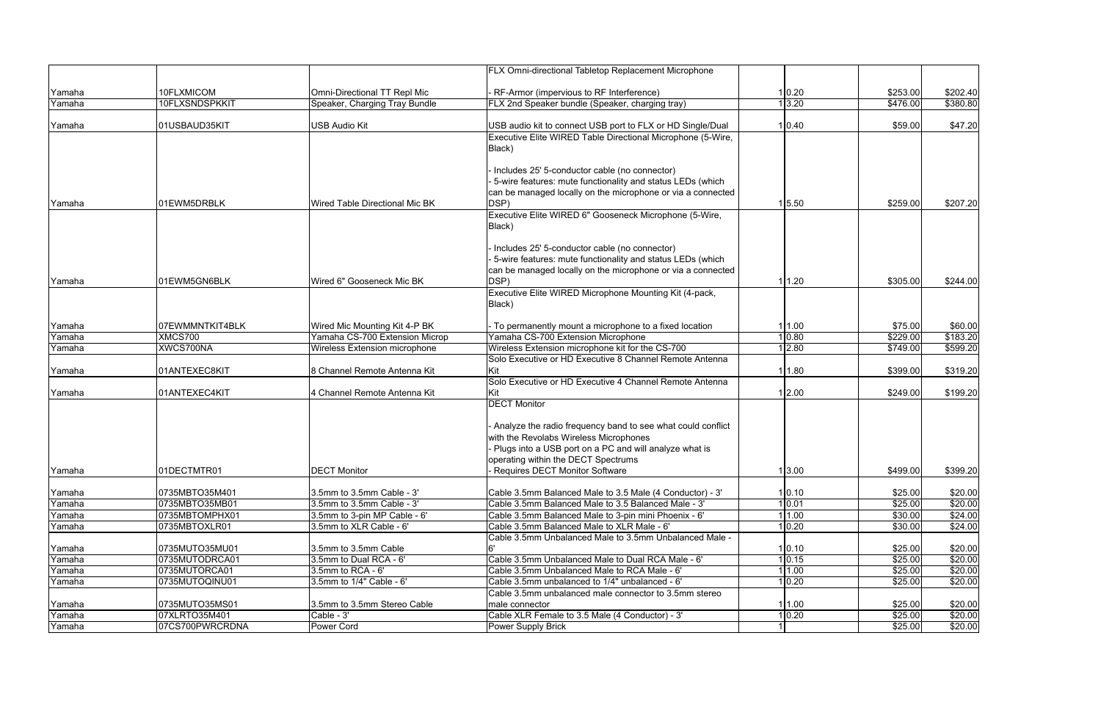|                  |                 |                                      | FLX Omni-directional Tabletop Replacement Microphone                                                                        |                  |          |                     |
|------------------|-----------------|--------------------------------------|-----------------------------------------------------------------------------------------------------------------------------|------------------|----------|---------------------|
| Yamaha           | 10FLXMICOM      | Omni-Directional TT Repl Mic         | - RF-Armor (impervious to RF Interference)                                                                                  | 0.20             | \$253.00 | \$202.40            |
| Yamaha           | 10FLXSNDSPKKIT  | Speaker, Charging Tray Bundle        | FLX 2nd Speaker bundle (Speaker, charging tray)                                                                             | 1 3.20           | \$476.00 | \$380.80            |
|                  |                 |                                      |                                                                                                                             |                  |          |                     |
| Yamaha           | 01USBAUD35KIT   | USB Audio Kit                        | USB audio kit to connect USB port to FLX or HD Single/Dual                                                                  | 1 0.40           | \$59.00  | \$47.20             |
|                  |                 |                                      | Executive Elite WIRED Table Directional Microphone (5-Wire,                                                                 |                  |          |                     |
|                  |                 |                                      | Black)                                                                                                                      |                  |          |                     |
|                  |                 |                                      | - Includes 25' 5-conductor cable (no connector)                                                                             |                  |          |                     |
|                  |                 |                                      | 5-wire features: mute functionality and status LEDs (which                                                                  |                  |          |                     |
|                  |                 |                                      | can be managed locally on the microphone or via a connected                                                                 |                  |          |                     |
| Yamaha           | 01EWM5DRBLK     | Wired Table Directional Mic BK       | DSP)                                                                                                                        | 1 5.50           | \$259.00 | \$207.20            |
|                  |                 |                                      | Executive Elite WIRED 6" Gooseneck Microphone (5-Wire,                                                                      |                  |          |                     |
|                  |                 |                                      | Black)                                                                                                                      |                  |          |                     |
|                  |                 |                                      |                                                                                                                             |                  |          |                     |
|                  |                 |                                      | - Includes 25' 5-conductor cable (no connector)                                                                             |                  |          |                     |
|                  |                 |                                      | - 5-wire features: mute functionality and status LEDs (which<br>can be managed locally on the microphone or via a connected |                  |          |                     |
| Yamaha           | 01EWM5GN6BLK    | Wired 6" Gooseneck Mic BK            | DSP)                                                                                                                        | 1.20             | \$305.00 | \$244.00            |
|                  |                 |                                      | Executive Elite WIRED Microphone Mounting Kit (4-pack,                                                                      |                  |          |                     |
|                  |                 |                                      | Black)                                                                                                                      |                  |          |                     |
|                  |                 |                                      |                                                                                                                             |                  |          |                     |
| Yamaha           | 07EWMMNTKIT4BLK | Wired Mic Mounting Kit 4-P BK        | - To permanently mount a microphone to a fixed location                                                                     | 11.00            | \$75.00  | \$60.00             |
| Yamaha           | XMCS700         | Yamaha CS-700 Extension Microp       | Yamaha CS-700 Extension Microphone                                                                                          | 0.80             | \$229.00 | \$183.20            |
| Yamaha           | XWCS700NA       | <b>Wireless Extension microphone</b> | Wireless Extension microphone kit for the CS-700                                                                            | 2.80             | \$749.00 | \$599.20            |
|                  |                 |                                      | Solo Executive or HD Executive 8 Channel Remote Antenna                                                                     |                  |          |                     |
| Yamaha           | 01ANTEXEC8KIT   | 8 Channel Remote Antenna Kit         |                                                                                                                             | 1.80             | \$399.00 | \$319.20            |
|                  |                 |                                      | Solo Executive or HD Executive 4 Channel Remote Antenna                                                                     |                  |          |                     |
| Yamaha           | 01ANTEXEC4KIT   | 4 Channel Remote Antenna Kit         |                                                                                                                             | 1 2.00           | \$249.00 | \$199.20            |
|                  |                 |                                      | <b>DECT Monitor</b>                                                                                                         |                  |          |                     |
|                  |                 |                                      | - Analyze the radio frequency band to see what could conflict                                                               |                  |          |                     |
|                  |                 |                                      | with the Revolabs Wireless Microphones                                                                                      |                  |          |                     |
|                  |                 |                                      | Plugs into a USB port on a PC and will analyze what is                                                                      |                  |          |                     |
|                  |                 |                                      | operating within the DECT Spectrums                                                                                         |                  |          |                     |
| Yamaha           | 01DECTMTR01     | <b>DECT Monitor</b>                  | Requires DECT Monitor Software                                                                                              | 1 3.00           | \$499.00 | \$399.20            |
|                  |                 |                                      |                                                                                                                             |                  |          |                     |
| Yamaha           | 0735MBTO35M401  | 3.5mm to 3.5mm Cable - 3'            | Cable 3.5mm Balanced Male to 3.5 Male (4 Conductor) - 3'                                                                    | 1 0.10           | \$25.00  | \$20.00             |
| Yamaha           | 0735MBTO35MB01  | 3.5mm to 3.5mm Cable - 3'            | Cable 3.5mm Balanced Male to 3.5 Balanced Male - 3'                                                                         | 1 0.01           | \$25.00  | \$20.00             |
| Yamaha           | 0735MBTOMPHX01  | 3.5mm to 3-pin MP Cable - 6'         | Cable 3.5mm Balanced Male to 3-pin mini Phoenix - 6'                                                                        | 1.00             | \$30.00  | \$24.00             |
| Yamaha           | 0735MBTOXLR01   | 3.5mm to XLR Cable - 6'              | Cable 3.5mm Balanced Male to XLR Male - 6'                                                                                  | $ 0.20\rangle$   | \$30.00  | $\sqrt{$24.00}$     |
|                  | 0735MUTO35MU01  | 3.5mm to 3.5mm Cable                 | Cable 3.5mm Unbalanced Male to 3.5mm Unbalanced Male -                                                                      |                  | \$25.00  | \$20.00             |
| Yamaha<br>Yamaha | 0735MUTODRCA01  | 3.5mm to Dual RCA - 6'               | Cable 3.5mm Unbalanced Male to Dual RCA Male - 6'                                                                           | 1 0.10<br>1 0.15 | \$25.00  | \$20.00             |
| Yamaha           | 0735MUTORCA01   | $3.5$ mm to RCA - $6'$               | Cable 3.5mm Unbalanced Male to RCA Male - 6'                                                                                | 1.00             | \$25.00  | \$20.00             |
| Yamaha           | 0735MUTOQINU01  | 3.5mm to 1/4" Cable - 6'             | Cable 3.5mm unbalanced to 1/4" unbalanced - 6'                                                                              | $ 0.20\rangle$   | \$25.00  | \$20.00             |
|                  |                 |                                      | Cable 3.5mm unbalanced male connector to 3.5mm stereo                                                                       |                  |          |                     |
| Yamaha           | 0735MUTO35MS01  | 3.5mm to 3.5mm Stereo Cable          | male connector                                                                                                              | 1.00             | \$25.00  | \$20.00             |
| Yamaha           | 07XLRTO35M401   | Cable - 3'                           | Cable XLR Female to 3.5 Male (4 Conductor) - 3'                                                                             | 0.20             | \$25.00  | \$20.00             |
| Yamaha           | 07CS700PWRCRDNA | Power Cord                           | Power Supply Brick                                                                                                          |                  | \$25.00  | $\overline{$}20.00$ |